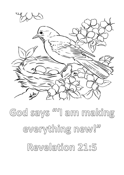

God says <sup>wa</sup>l am making everything new!" Revelation 21:5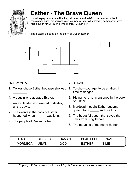

# **Esther - The Brave Queen**

If you keep quiet at a time like this, deliverance and relief for the Jews will arise from some other place, but you and your relatives will die. Who knows if perhaps you were made queen for just such a time as this?" Esther 4:14

The puzzle is based on the story of Queen Esther.



#### **HORIZONTAL**

- 1. Xerxes chose Esther because she was  $\overline{\phantom{a}}$  .
- 4. A cousin who adopted Esther.
- 6. An evil leader who wanted to destroy all the Jews.
- 7. The events in the book of Esther happened when \_\_\_\_\_\_ was king.
- 9. The people of Queen Esther.

#### **VERTICAL**

- 1. To show courage; to be unafraid in time of danger
- 2. His name is not mentioned in the book of Esther.
- 3. Mordecai thought Esther became queen for a \_\_\_\_\_\_ such as this.
- 5. The beautiful queen that saved the Jews from King Xerxes.
- 8. The meaning of the name Esther.

| <b>STAR</b>     | <b>XERXES</b> | <b>HAMAN</b> | <b>BEAUTIFUL</b> | <b>BRAVE</b> |
|-----------------|---------------|--------------|------------------|--------------|
| <b>MORDECAL</b> | JEWS          | GOD          | <b>FSTHFR</b>    | TIME         |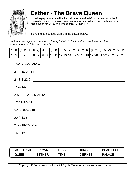

## **Esther - The Brave Queen**

If you keep quiet at a time like this, deliverance and relief for the Jews will arise from some other place, but you and your relatives will die. Who knows if perhaps you were made queen for just such a time as this?" Esther 4:14

Solve the secret code words in the puzzle below.

*Each number represents a letter of the alphabet. Substitute the correct letter for the numbers to reveal the coded words.*

|  |  |  |  | A   B   C   D   E   F   G   H   I   J   K   L  M   N   O   P   Q   R   S   T   U   V   W   X   Y   Z |  |  |  |  |  |  |  |                                                                                        |
|--|--|--|--|------------------------------------------------------------------------------------------------------|--|--|--|--|--|--|--|----------------------------------------------------------------------------------------|
|  |  |  |  |                                                                                                      |  |  |  |  |  |  |  | _1   2   3   4   5   6   7   8   9  10 11 12 13 14 15 16 17 18 19 20 21 22 23 24 25 26 |

| 13-15-18-4-5-3-1-9                                                                                                                             |
|------------------------------------------------------------------------------------------------------------------------------------------------|
|                                                                                                                                                |
| $2 - 18 - 1 - 22 - 5$<br><u> 1989 - Johann Harry Harry Harry Harry Harry Harry Harry Harry Harry Harry Harry Harry Harry Harry Harry Harry</u> |
| $11-9-14-7$<br><u> 1989 - Johann Barn, amerikan besteman besteman besteman besteman besteman besteman besteman besteman bestema</u>            |
| 2-5-1-21-20-9-6-21-12                                                                                                                          |
| 17-21-5-5-14                                                                                                                                   |
| $5 - 19 - 20 - 8 - 5 - 18$                                                                                                                     |
| $20 - 9 - 13 - 5$                                                                                                                              |
| 24-5-18-24-5-19<br><u>a sa barang ang pagbabang nagarang pangangang nagarang pangangang nagarang pang</u>                                      |
| $16 - 1 - 12 - 1 - 3 - 5$                                                                                                                      |

| <b>MORDECAL</b> | <b>CROWN</b>  | <b>BRAVE</b> | <b>KING</b> | <b>BEAUTIFUL</b> |
|-----------------|---------------|--------------|-------------|------------------|
| <b>QUEEN</b>    | <b>FSTHFR</b> | TIME         | XERXES      | <b>PALACE</b>    |